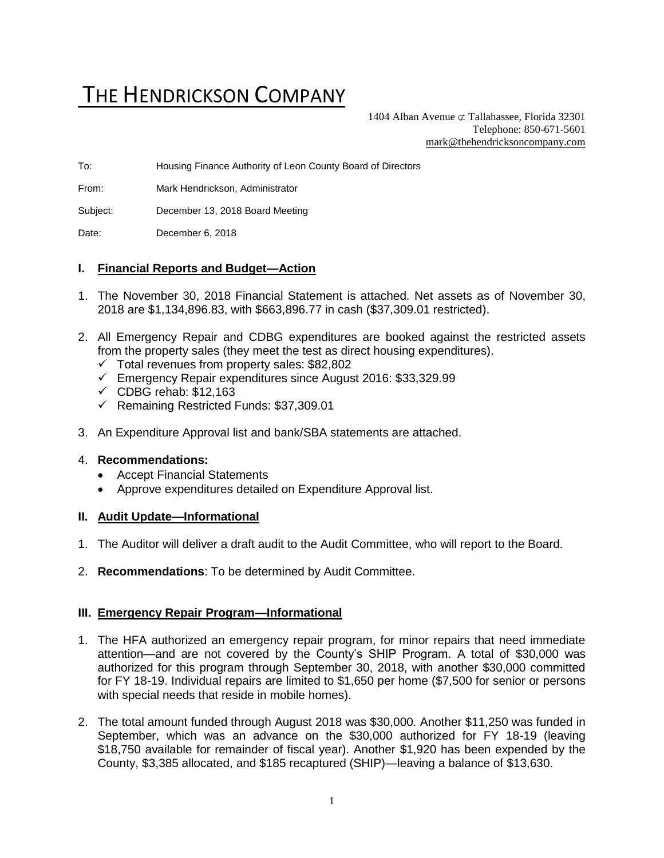# THE HENDRICKSON COMPANY

1404 Alban Avenue  $\subset \text{Tallahasse}$ , Florida 32301 Telephone: 850-671-5601 [mark@thehendricksoncompany.com](mailto:mark@thehendricksoncompany.com)

To: Housing Finance Authority of Leon County Board of Directors

From: Mark Hendrickson, Administrator

Subject: December 13, 2018 Board Meeting

Date: December 6, 2018

#### **I. Financial Reports and Budget—Action**

- 1. The November 30, 2018 Financial Statement is attached. Net assets as of November 30, 2018 are \$1,134,896.83, with \$663,896.77 in cash (\$37,309.01 restricted).
- 2. All Emergency Repair and CDBG expenditures are booked against the restricted assets from the property sales (they meet the test as direct housing expenditures).
	- ✓ Total revenues from property sales: \$82,802
	- ✓ Emergency Repair expenditures since August 2016: \$33,329.99
	- $\checkmark$  CDBG rehab: \$12,163
	- ✓ Remaining Restricted Funds: \$37,309.01
- 3. An Expenditure Approval list and bank/SBA statements are attached.

#### 4. **Recommendations:**

- Accept Financial Statements
- Approve expenditures detailed on Expenditure Approval list.

#### **II. Audit Update—Informational**

- 1. The Auditor will deliver a draft audit to the Audit Committee, who will report to the Board.
- 2. **Recommendations**: To be determined by Audit Committee.

#### **III. Emergency Repair Program—Informational**

- 1. The HFA authorized an emergency repair program, for minor repairs that need immediate attention—and are not covered by the County's SHIP Program. A total of \$30,000 was authorized for this program through September 30, 2018, with another \$30,000 committed for FY 18-19. Individual repairs are limited to \$1,650 per home (\$7,500 for senior or persons with special needs that reside in mobile homes).
- 2. The total amount funded through August 2018 was \$30,000. Another \$11,250 was funded in September, which was an advance on the \$30,000 authorized for FY 18-19 (leaving \$18,750 available for remainder of fiscal year). Another \$1,920 has been expended by the County, \$3,385 allocated, and \$185 recaptured (SHIP)—leaving a balance of \$13,630.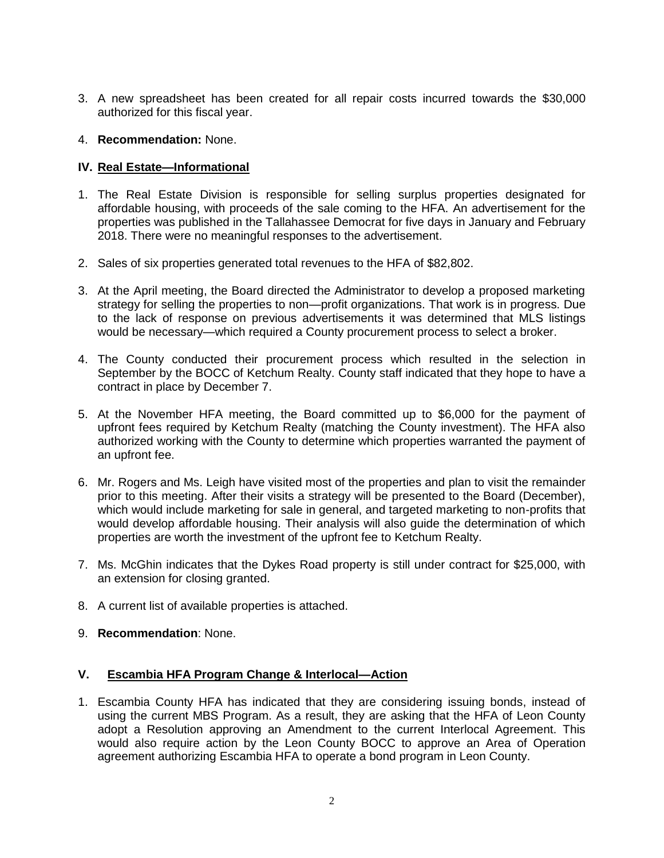- 3. A new spreadsheet has been created for all repair costs incurred towards the \$30,000 authorized for this fiscal year.
- 4. **Recommendation:** None.

## **IV. Real Estate—Informational**

- 1. The Real Estate Division is responsible for selling surplus properties designated for affordable housing, with proceeds of the sale coming to the HFA. An advertisement for the properties was published in the Tallahassee Democrat for five days in January and February 2018. There were no meaningful responses to the advertisement.
- 2. Sales of six properties generated total revenues to the HFA of \$82,802.
- 3. At the April meeting, the Board directed the Administrator to develop a proposed marketing strategy for selling the properties to non—profit organizations. That work is in progress. Due to the lack of response on previous advertisements it was determined that MLS listings would be necessary—which required a County procurement process to select a broker.
- 4. The County conducted their procurement process which resulted in the selection in September by the BOCC of Ketchum Realty. County staff indicated that they hope to have a contract in place by December 7.
- 5. At the November HFA meeting, the Board committed up to \$6,000 for the payment of upfront fees required by Ketchum Realty (matching the County investment). The HFA also authorized working with the County to determine which properties warranted the payment of an upfront fee.
- 6. Mr. Rogers and Ms. Leigh have visited most of the properties and plan to visit the remainder prior to this meeting. After their visits a strategy will be presented to the Board (December), which would include marketing for sale in general, and targeted marketing to non-profits that would develop affordable housing. Their analysis will also guide the determination of which properties are worth the investment of the upfront fee to Ketchum Realty.
- 7. Ms. McGhin indicates that the Dykes Road property is still under contract for \$25,000, with an extension for closing granted.
- 8. A current list of available properties is attached.
- 9. **Recommendation**: None.

## **V. Escambia HFA Program Change & Interlocal—Action**

1. Escambia County HFA has indicated that they are considering issuing bonds, instead of using the current MBS Program. As a result, they are asking that the HFA of Leon County adopt a Resolution approving an Amendment to the current Interlocal Agreement. This would also require action by the Leon County BOCC to approve an Area of Operation agreement authorizing Escambia HFA to operate a bond program in Leon County.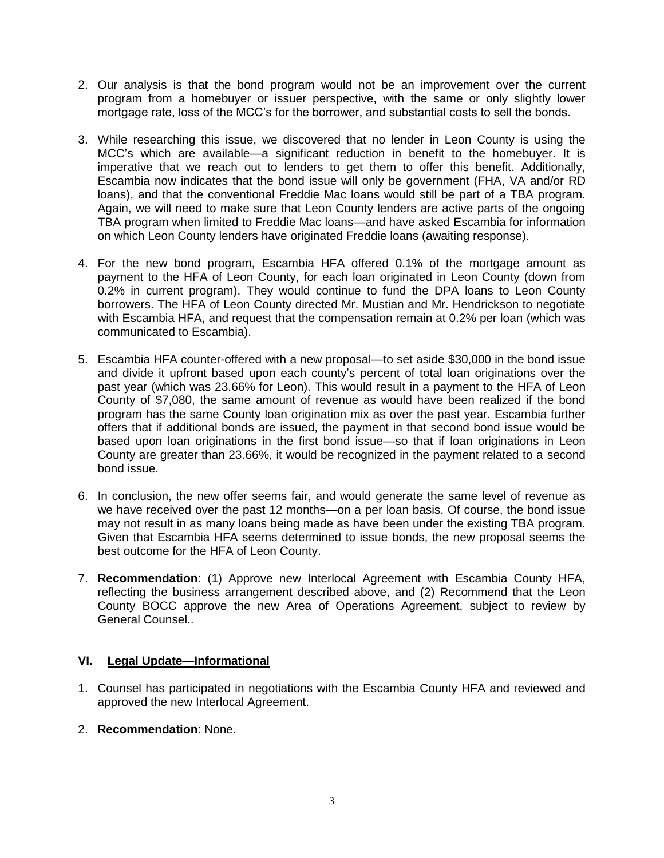- 2. Our analysis is that the bond program would not be an improvement over the current program from a homebuyer or issuer perspective, with the same or only slightly lower mortgage rate, loss of the MCC's for the borrower, and substantial costs to sell the bonds.
- 3. While researching this issue, we discovered that no lender in Leon County is using the MCC's which are available—a significant reduction in benefit to the homebuyer. It is imperative that we reach out to lenders to get them to offer this benefit. Additionally, Escambia now indicates that the bond issue will only be government (FHA, VA and/or RD loans), and that the conventional Freddie Mac loans would still be part of a TBA program. Again, we will need to make sure that Leon County lenders are active parts of the ongoing TBA program when limited to Freddie Mac loans—and have asked Escambia for information on which Leon County lenders have originated Freddie loans (awaiting response).
- 4. For the new bond program, Escambia HFA offered 0.1% of the mortgage amount as payment to the HFA of Leon County, for each loan originated in Leon County (down from 0.2% in current program). They would continue to fund the DPA loans to Leon County borrowers. The HFA of Leon County directed Mr. Mustian and Mr. Hendrickson to negotiate with Escambia HFA, and request that the compensation remain at 0.2% per loan (which was communicated to Escambia).
- 5. Escambia HFA counter-offered with a new proposal—to set aside \$30,000 in the bond issue and divide it upfront based upon each county's percent of total loan originations over the past year (which was 23.66% for Leon). This would result in a payment to the HFA of Leon County of \$7,080, the same amount of revenue as would have been realized if the bond program has the same County loan origination mix as over the past year. Escambia further offers that if additional bonds are issued, the payment in that second bond issue would be based upon loan originations in the first bond issue—so that if loan originations in Leon County are greater than 23.66%, it would be recognized in the payment related to a second bond issue.
- 6. In conclusion, the new offer seems fair, and would generate the same level of revenue as we have received over the past 12 months—on a per loan basis. Of course, the bond issue may not result in as many loans being made as have been under the existing TBA program. Given that Escambia HFA seems determined to issue bonds, the new proposal seems the best outcome for the HFA of Leon County.
- 7. **Recommendation**: (1) Approve new Interlocal Agreement with Escambia County HFA, reflecting the business arrangement described above, and (2) Recommend that the Leon County BOCC approve the new Area of Operations Agreement, subject to review by General Counsel..

## **VI. Legal Update—Informational**

- 1. Counsel has participated in negotiations with the Escambia County HFA and reviewed and approved the new Interlocal Agreement.
- 2. **Recommendation**: None.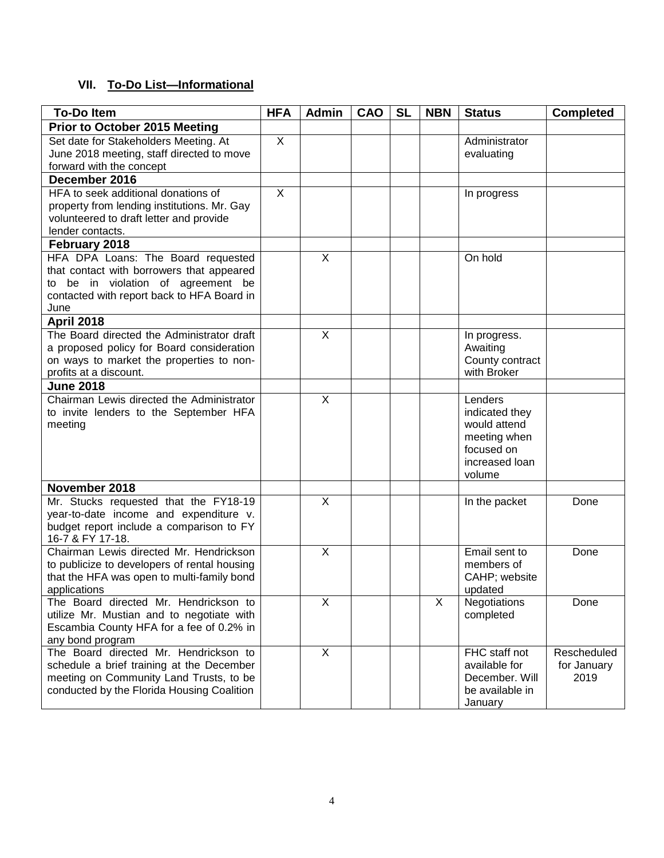# **VII. To-Do List—Informational**

| <b>To-Do Item</b>                                                                                                                                                           | <b>HFA</b>     | <b>Admin</b>            | <b>CAO</b> | <b>SL</b> | <b>NBN</b> | <b>Status</b>                                                                                       | <b>Completed</b>                   |
|-----------------------------------------------------------------------------------------------------------------------------------------------------------------------------|----------------|-------------------------|------------|-----------|------------|-----------------------------------------------------------------------------------------------------|------------------------------------|
| Prior to October 2015 Meeting                                                                                                                                               |                |                         |            |           |            |                                                                                                     |                                    |
| Set date for Stakeholders Meeting. At<br>June 2018 meeting, staff directed to move<br>forward with the concept                                                              | X              |                         |            |           |            | Administrator<br>evaluating                                                                         |                                    |
| December 2016                                                                                                                                                               |                |                         |            |           |            |                                                                                                     |                                    |
| HFA to seek additional donations of<br>property from lending institutions. Mr. Gay<br>volunteered to draft letter and provide<br>lender contacts.                           | $\overline{X}$ |                         |            |           |            | In progress                                                                                         |                                    |
| February 2018                                                                                                                                                               |                |                         |            |           |            |                                                                                                     |                                    |
| HFA DPA Loans: The Board requested<br>that contact with borrowers that appeared<br>to be in violation of agreement be<br>contacted with report back to HFA Board in<br>June |                | X                       |            |           |            | On hold                                                                                             |                                    |
| <b>April 2018</b>                                                                                                                                                           |                |                         |            |           |            |                                                                                                     |                                    |
| The Board directed the Administrator draft<br>a proposed policy for Board consideration<br>on ways to market the properties to non-<br>profits at a discount.               |                | X                       |            |           |            | In progress.<br>Awaiting<br>County contract<br>with Broker                                          |                                    |
| <b>June 2018</b>                                                                                                                                                            |                |                         |            |           |            |                                                                                                     |                                    |
| Chairman Lewis directed the Administrator<br>to invite lenders to the September HFA<br>meeting                                                                              |                | $\mathsf{X}$            |            |           |            | Lenders<br>indicated they<br>would attend<br>meeting when<br>focused on<br>increased loan<br>volume |                                    |
| November 2018                                                                                                                                                               |                |                         |            |           |            |                                                                                                     |                                    |
| Mr. Stucks requested that the FY18-19<br>year-to-date income and expenditure v.<br>budget report include a comparison to FY<br>16-7 & FY 17-18.                             |                | X                       |            |           |            | In the packet                                                                                       | Done                               |
| Chairman Lewis directed Mr. Hendrickson<br>to publicize to developers of rental housing<br>that the HFA was open to multi-family bond<br>applications                       |                | X                       |            |           |            | Email sent to<br>members of<br>CAHP; website<br>updated                                             | Done                               |
| The Board directed Mr. Hendrickson to<br>utilize Mr. Mustian and to negotiate with<br>Escambia County HFA for a fee of 0.2% in<br>any bond program                          |                | $\overline{\mathsf{X}}$ |            |           | X          | Negotiations<br>completed                                                                           | Done                               |
| The Board directed Mr. Hendrickson to<br>schedule a brief training at the December<br>meeting on Community Land Trusts, to be<br>conducted by the Florida Housing Coalition |                | X                       |            |           |            | FHC staff not<br>available for<br>December. Will<br>be available in<br>January                      | Rescheduled<br>for January<br>2019 |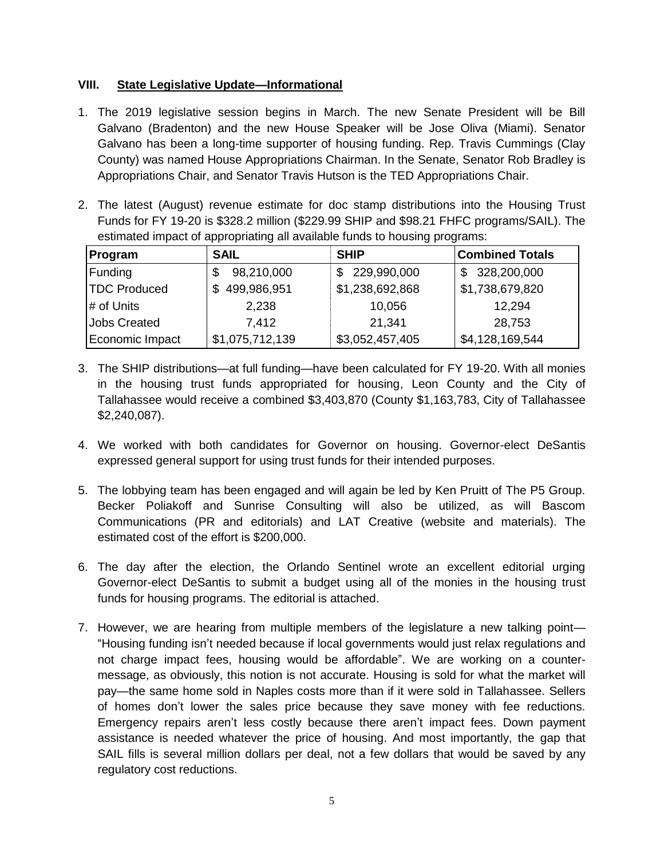## **VIII. State Legislative Update—Informational**

- 1. The 2019 legislative session begins in March. The new Senate President will be Bill Galvano (Bradenton) and the new House Speaker will be Jose Oliva (Miami). Senator Galvano has been a long-time supporter of housing funding. Rep. Travis Cummings (Clay County) was named House Appropriations Chairman. In the Senate, Senator Rob Bradley is Appropriations Chair, and Senator Travis Hutson is the TED Appropriations Chair.
- 2. The latest (August) revenue estimate for doc stamp distributions into the Housing Trust Funds for FY 19-20 is \$328.2 million (\$229.99 SHIP and \$98.21 FHFC programs/SAIL). The estimated impact of appropriating all available funds to housing programs:

| Program             | <b>SAIL</b>        | <b>SHIP</b>     | <b>Combined Totals</b> |
|---------------------|--------------------|-----------------|------------------------|
| Funding             | 98,210,000         | \$ 229,990,000  | 328,200,000<br>\$      |
| <b>TDC Produced</b> | 499,986,951<br>\$. | \$1,238,692,868 | \$1,738,679,820        |
| # of Units          | 2,238              | 10,056          | 12,294                 |
| <b>Jobs Created</b> | 7.412              | 21,341          | 28,753                 |
| Economic Impact     | \$1,075,712,139    | \$3,052,457,405 | \$4,128,169,544        |

- 3. The SHIP distributions—at full funding—have been calculated for FY 19-20. With all monies in the housing trust funds appropriated for housing, Leon County and the City of Tallahassee would receive a combined \$3,403,870 (County \$1,163,783, City of Tallahassee \$2,240,087).
- 4. We worked with both candidates for Governor on housing. Governor-elect DeSantis expressed general support for using trust funds for their intended purposes.
- 5. The lobbying team has been engaged and will again be led by Ken Pruitt of The P5 Group. Becker Poliakoff and Sunrise Consulting will also be utilized, as will Bascom Communications (PR and editorials) and LAT Creative (website and materials). The estimated cost of the effort is \$200,000.
- 6. The day after the election, the Orlando Sentinel wrote an excellent editorial urging Governor-elect DeSantis to submit a budget using all of the monies in the housing trust funds for housing programs. The editorial is attached.
- 7. However, we are hearing from multiple members of the legislature a new talking point— "Housing funding isn't needed because if local governments would just relax regulations and not charge impact fees, housing would be affordable". We are working on a countermessage, as obviously, this notion is not accurate. Housing is sold for what the market will pay—the same home sold in Naples costs more than if it were sold in Tallahassee. Sellers of homes don't lower the sales price because they save money with fee reductions. Emergency repairs aren't less costly because there aren't impact fees. Down payment assistance is needed whatever the price of housing. And most importantly, the gap that SAIL fills is several million dollars per deal, not a few dollars that would be saved by any regulatory cost reductions.